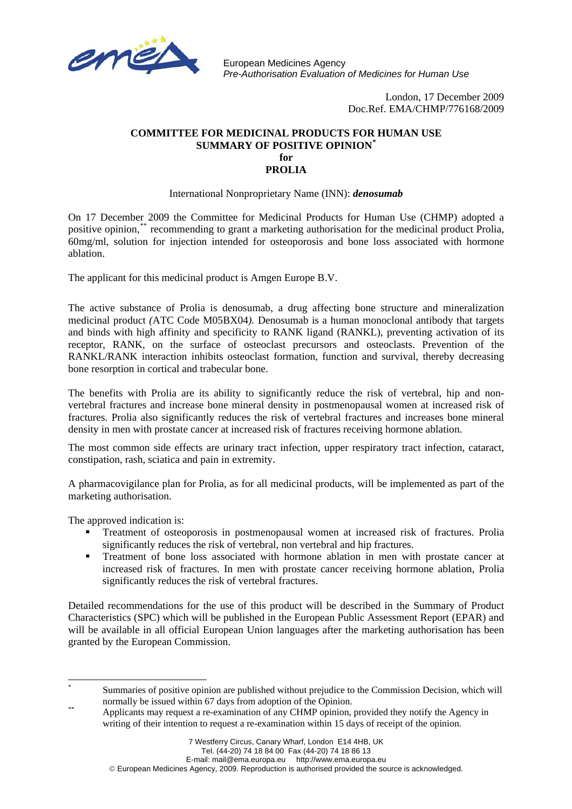

European Medicines Agency *Pre-Authorisation Evaluation of Medicines for Human Use* 

> London, 17 December 2009 Doc.Ref. EMA/CHMP/776168/2009

## **COMMITTEE FOR MEDICINAL PRODUCTS FOR HUMAN USE SUMMARY OF POSITIVE OPINION[\\*](#page-0-0) for PROLIA**

## International Nonproprietary Name (INN): *denosumab*

On 17 December 2009 the Committee for Medicinal Products for Human Use (CHMP) adopted a positive opinion,[\\*\\*](#page-0-1) recommending to grant a marketing authorisation for the medicinal product Prolia*,*  60mg/ml, solution for injection intended for osteoporosis and bone loss associated with hormone ablation.

The applicant for this medicinal product is Amgen Europe B.V.

The active substance of Prolia is denosumab, a drug affecting bone structure and mineralization medicinal product *(*ATC Code M05BX04*).* Denosumab is a human monoclonal antibody that targets and binds with high affinity and specificity to RANK ligand (RANKL), preventing activation of its receptor, RANK, on the surface of osteoclast precursors and osteoclasts. Prevention of the RANKL/RANK interaction inhibits osteoclast formation, function and survival, thereby decreasing bone resorption in cortical and trabecular bone.

The benefits with Prolia are its ability to significantly reduce the risk of vertebral, hip and nonvertebral fractures and increase bone mineral density in postmenopausal women at increased risk of fractures*.* Prolia also significantly reduces the risk of vertebral fractures and increases bone mineral density in men with prostate cancer at increased risk of fractures receiving hormone ablation.

The most common side effects are urinary tract infection, upper respiratory tract infection*,* cataract, constipation, rash, sciatica and pain in extremity.

A pharmacovigilance plan for Prolia, as for all medicinal products, will be implemented as part of the marketing authorisation.

The approved indication is:

- Treatment of osteoporosis in postmenopausal women at increased risk of fractures. Prolia significantly reduces the risk of vertebral, non vertebral and hip fractures.
- Treatment of bone loss associated with hormone ablation in men with prostate cancer at increased risk of fractures. In men with prostate cancer receiving hormone ablation, Prolia significantly reduces the risk of vertebral fractures.

Detailed recommendations for the use of this product will be described in the Summary of Product Characteristics (SPC) which will be published in the European Public Assessment Report (EPAR) and will be available in all official European Union languages after the marketing authorisation has been granted by the European Commission.

E-mail: mail@ema.europa.eu http://www.ema.europa.eu

© European Medicines Agency, 2009. Reproduction is authorised provided the source is acknowledged.

l \* Summaries of positive opinion are published without prejudice to the Commission Decision, which will

<span id="page-0-1"></span><span id="page-0-0"></span>normally be issued within 67 days from adoption of the Opinion.<br>Applicants may request a re-examination of any CHMP opinion, provided they notify the Agency in writing of their intention to request a re-examination within 15 days of receipt of the opinion.

<sup>7</sup> Westferry Circus, Canary Wharf, London E14 4HB, UK

Tel. (44-20) 74 18 84 00 Fax (44-20) 74 18 86 13